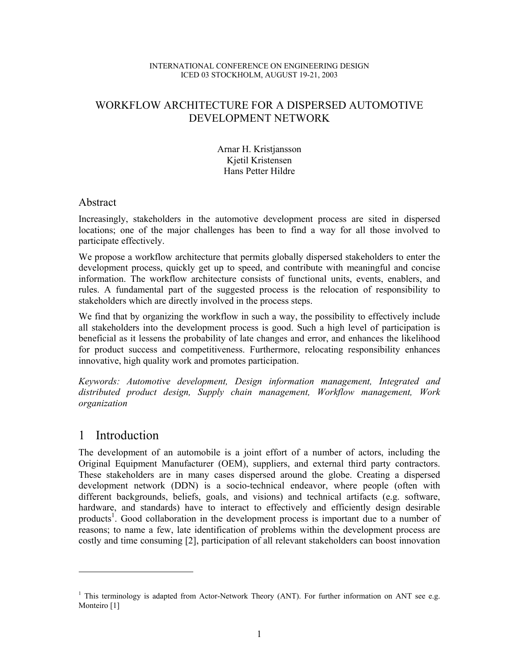#### INTERNATIONAL CONFERENCE ON ENGINEERING DESIGN ICED 03 STOCKHOLM, AUGUST 19-21, 2003

# WORKFLOW ARCHITECTURE FOR A DISPERSED AUTOMOTIVE DEVELOPMENT NETWORK

Arnar H. Kristjansson Kjetil Kristensen Hans Petter Hildre

## Abstract

Increasingly, stakeholders in the automotive development process are sited in dispersed locations; one of the major challenges has been to find a way for all those involved to participate effectively.

We propose a workflow architecture that permits globally dispersed stakeholders to enter the development process, quickly get up to speed, and contribute with meaningful and concise information. The workflow architecture consists of functional units, events, enablers, and rules. A fundamental part of the suggested process is the relocation of responsibility to stakeholders which are directly involved in the process steps.

We find that by organizing the workflow in such a way, the possibility to effectively include all stakeholders into the development process is good. Such a high level of participation is beneficial as it lessens the probability of late changes and error, and enhances the likelihood for product success and competitiveness. Furthermore, relocating responsibility enhances innovative, high quality work and promotes participation.

*Keywords: Automotive development, Design information management, Integrated and distributed product design, Supply chain management, Workflow management, Work organization* 

# 1 Introduction

 $\overline{\phantom{a}}$ 

The development of an automobile is a joint effort of a number of actors, including the Original Equipment Manufacturer (OEM), suppliers, and external third party contractors. These stakeholders are in many cases dispersed around the globe. Creating a dispersed development network (DDN) is a socio-technical endeavor, where people (often with different backgrounds, beliefs, goals, and visions) and technical artifacts (e.g. software, hardware, and standards) have to interact to effectively and efficiently design desirable products<sup>1</sup>. Good collaboration in the development process is important due to a number of reasons; to name a few, late identification of problems within the development process are costly and time consuming [2], participation of all relevant stakeholders can boost innovation

<sup>&</sup>lt;sup>1</sup> This terminology is adapted from Actor-Network Theory (ANT). For further information on ANT see e.g. Monteiro [1]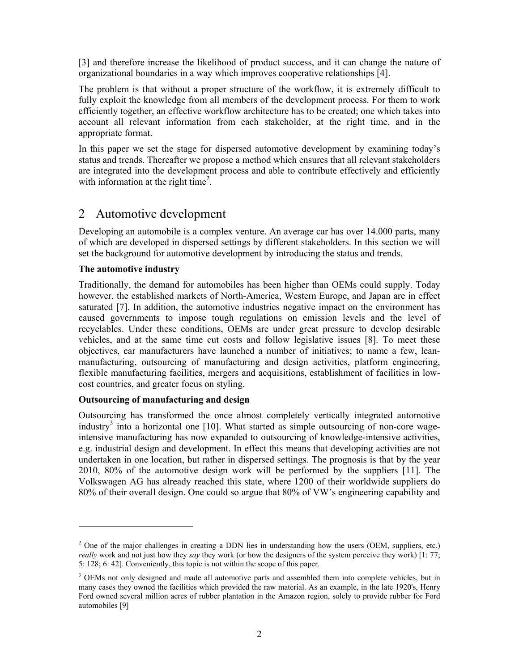[3] and therefore increase the likelihood of product success, and it can change the nature of organizational boundaries in a way which improves cooperative relationships [4].

The problem is that without a proper structure of the workflow, it is extremely difficult to fully exploit the knowledge from all members of the development process. For them to work efficiently together, an effective workflow architecture has to be created; one which takes into account all relevant information from each stakeholder, at the right time, and in the appropriate format.

In this paper we set the stage for dispersed automotive development by examining today's status and trends. Thereafter we propose a method which ensures that all relevant stakeholders are integrated into the development process and able to contribute effectively and efficiently with information at the right time<sup>2</sup>.

# 2 Automotive development

Developing an automobile is a complex venture. An average car has over 14.000 parts, many of which are developed in dispersed settings by different stakeholders. In this section we will set the background for automotive development by introducing the status and trends.

### **The automotive industry**

 $\overline{a}$ 

Traditionally, the demand for automobiles has been higher than OEMs could supply. Today however, the established markets of North-America, Western Europe, and Japan are in effect saturated [7]. In addition, the automotive industries negative impact on the environment has caused governments to impose tough regulations on emission levels and the level of recyclables. Under these conditions, OEMs are under great pressure to develop desirable vehicles, and at the same time cut costs and follow legislative issues [8]. To meet these objectives, car manufacturers have launched a number of initiatives; to name a few, leanmanufacturing, outsourcing of manufacturing and design activities, platform engineering, flexible manufacturing facilities, mergers and acquisitions, establishment of facilities in lowcost countries, and greater focus on styling.

### **Outsourcing of manufacturing and design**

Outsourcing has transformed the once almost completely vertically integrated automotive industry<sup>3</sup> into a horizontal one [10]. What started as simple outsourcing of non-core wageintensive manufacturing has now expanded to outsourcing of knowledge-intensive activities, e.g. industrial design and development. In effect this means that developing activities are not undertaken in one location, but rather in dispersed settings. The prognosis is that by the year 2010, 80% of the automotive design work will be performed by the suppliers [11]. The Volkswagen AG has already reached this state, where 1200 of their worldwide suppliers do 80% of their overall design. One could so argue that 80% of VW's engineering capability and

 $2^2$  One of the major challenges in creating a DDN lies in understanding how the users (OEM, suppliers, etc.) *really* work and not just how they *say* they work (or how the designers of the system perceive they work) [1: 77; 5: 128; 6: 42]. Conveniently, this topic is not within the scope of this paper.

<sup>&</sup>lt;sup>3</sup> OEMs not only designed and made all automotive parts and assembled them into complete vehicles, but in many cases they owned the facilities which provided the raw material. As an example, in the late 1920's, Henry Ford owned several million acres of rubber plantation in the Amazon region, solely to provide rubber for Ford automobiles [9]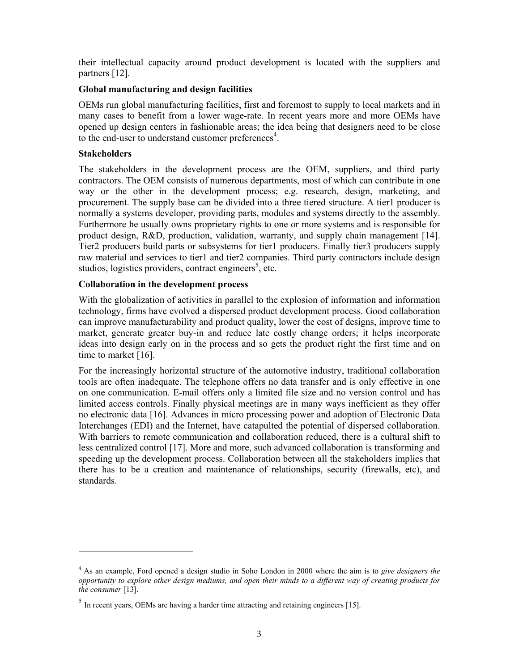their intellectual capacity around product development is located with the suppliers and partners [12].

### **Global manufacturing and design facilities**

OEMs run global manufacturing facilities, first and foremost to supply to local markets and in many cases to benefit from a lower wage-rate. In recent years more and more OEMs have opened up design centers in fashionable areas; the idea being that designers need to be close to the end-user to understand customer preferences $4$ .

### **Stakeholders**

The stakeholders in the development process are the OEM, suppliers, and third party contractors. The OEM consists of numerous departments, most of which can contribute in one way or the other in the development process; e.g. research, design, marketing, and procurement. The supply base can be divided into a three tiered structure. A tier1 producer is normally a systems developer, providing parts, modules and systems directly to the assembly. Furthermore he usually owns proprietary rights to one or more systems and is responsible for product design, R&D, production, validation, warranty, and supply chain management [14]. Tier2 producers build parts or subsystems for tier1 producers. Finally tier3 producers supply raw material and services to tier1 and tier2 companies. Third party contractors include design studios, logistics providers, contract engineers<sup>5</sup>, etc.

### **Collaboration in the development process**

With the globalization of activities in parallel to the explosion of information and information technology, firms have evolved a dispersed product development process. Good collaboration can improve manufacturability and product quality, lower the cost of designs, improve time to market, generate greater buy-in and reduce late costly change orders; it helps incorporate ideas into design early on in the process and so gets the product right the first time and on time to market [16].

For the increasingly horizontal structure of the automotive industry, traditional collaboration tools are often inadequate. The telephone offers no data transfer and is only effective in one on one communication. E-mail offers only a limited file size and no version control and has limited access controls. Finally physical meetings are in many ways inefficient as they offer no electronic data [16]. Advances in micro processing power and adoption of Electronic Data Interchanges (EDI) and the Internet, have catapulted the potential of dispersed collaboration. With barriers to remote communication and collaboration reduced, there is a cultural shift to less centralized control [17]. More and more, such advanced collaboration is transforming and speeding up the development process. Collaboration between all the stakeholders implies that there has to be a creation and maintenance of relationships, security (firewalls, etc), and standards.

<sup>4</sup> As an example, Ford opened a design studio in Soho London in 2000 where the aim is to *give designers the opportunity to explore other design mediums, and open their minds to a different way of creating products for the consumer* [13].

 $<sup>5</sup>$  In recent years, OEMs are having a harder time attracting and retaining engineers [15].</sup>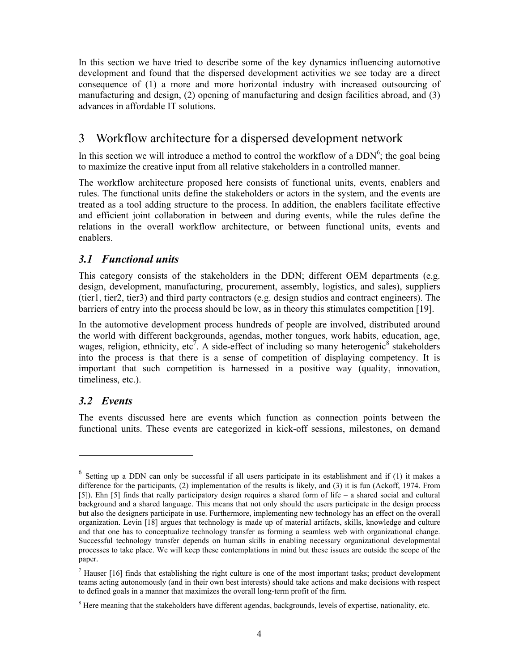In this section we have tried to describe some of the key dynamics influencing automotive development and found that the dispersed development activities we see today are a direct consequence of (1) a more and more horizontal industry with increased outsourcing of manufacturing and design, (2) opening of manufacturing and design facilities abroad, and (3) advances in affordable IT solutions.

# 3 Workflow architecture for a dispersed development network

In this section we will introduce a method to control the workflow of a  $DDN<sup>6</sup>$ ; the goal being to maximize the creative input from all relative stakeholders in a controlled manner.

The workflow architecture proposed here consists of functional units, events, enablers and rules. The functional units define the stakeholders or actors in the system, and the events are treated as a tool adding structure to the process. In addition, the enablers facilitate effective and efficient joint collaboration in between and during events, while the rules define the relations in the overall workflow architecture, or between functional units, events and enablers.

## *3.1 Functional units*

This category consists of the stakeholders in the DDN; different OEM departments (e.g. design, development, manufacturing, procurement, assembly, logistics, and sales), suppliers (tier1, tier2, tier3) and third party contractors (e.g. design studios and contract engineers). The barriers of entry into the process should be low, as in theory this stimulates competition [19].

In the automotive development process hundreds of people are involved, distributed around the world with different backgrounds, agendas, mother tongues, work habits, education, age, wages, religion, ethnicity, etc<sup>7</sup>. A side-effect of including so many heterogenic<sup>8</sup> stakeholders into the process is that there is a sense of competition of displaying competency. It is important that such competition is harnessed in a positive way (quality, innovation, timeliness, etc.).

# *3.2 Events*

 $\overline{\phantom{a}}$ 

The events discussed here are events which function as connection points between the functional units. These events are categorized in kick-off sessions, milestones, on demand

<sup>6</sup> Setting up a DDN can only be successful if all users participate in its establishment and if (1) it makes a difference for the participants, (2) implementation of the results is likely, and (3) it is fun (Ackoff, 1974. From [5]). Ehn [5] finds that really participatory design requires a shared form of life – a shared social and cultural background and a shared language. This means that not only should the users participate in the design process but also the designers participate in use. Furthermore, implementing new technology has an effect on the overall organization. Levin [18] argues that technology is made up of material artifacts, skills, knowledge and culture and that one has to conceptualize technology transfer as forming a seamless web with organizational change. Successful technology transfer depends on human skills in enabling necessary organizational developmental processes to take place. We will keep these contemplations in mind but these issues are outside the scope of the paper.

 $<sup>7</sup>$  Hauser [16] finds that establishing the right culture is one of the most important tasks; product development</sup> teams acting autonomously (and in their own best interests) should take actions and make decisions with respect to defined goals in a manner that maximizes the overall long-term profit of the firm.

 $8$  Here meaning that the stakeholders have different agendas, backgrounds, levels of expertise, nationality, etc.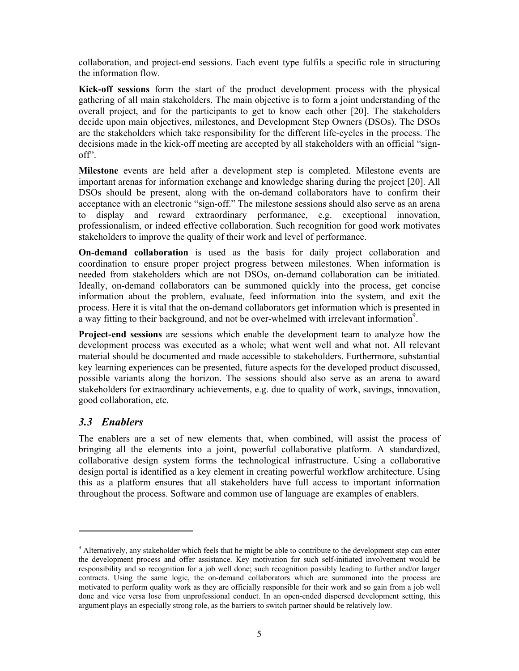collaboration, and project-end sessions. Each event type fulfils a specific role in structuring the information flow.

**Kick-off sessions** form the start of the product development process with the physical gathering of all main stakeholders. The main objective is to form a joint understanding of the overall project, and for the participants to get to know each other [20]. The stakeholders decide upon main objectives, milestones, and Development Step Owners (DSOs). The DSOs are the stakeholders which take responsibility for the different life-cycles in the process. The decisions made in the kick-off meeting are accepted by all stakeholders with an official "signoff".

**Milestone** events are held after a development step is completed. Milestone events are important arenas for information exchange and knowledge sharing during the project [20]. All DSOs should be present, along with the on-demand collaborators have to confirm their acceptance with an electronic "sign-off." The milestone sessions should also serve as an arena to display and reward extraordinary performance, e.g. exceptional innovation, professionalism, or indeed effective collaboration. Such recognition for good work motivates stakeholders to improve the quality of their work and level of performance.

**On-demand collaboration** is used as the basis for daily project collaboration and coordination to ensure proper project progress between milestones. When information is needed from stakeholders which are not DSOs, on-demand collaboration can be initiated. Ideally, on-demand collaborators can be summoned quickly into the process, get concise information about the problem, evaluate, feed information into the system, and exit the process. Here it is vital that the on-demand collaborators get information which is presented in a way fitting to their background, and not be over-whelmed with irrelevant information<sup>9</sup>.

**Project-end sessions** are sessions which enable the development team to analyze how the development process was executed as a whole; what went well and what not. All relevant material should be documented and made accessible to stakeholders. Furthermore, substantial key learning experiences can be presented, future aspects for the developed product discussed, possible variants along the horizon. The sessions should also serve as an arena to award stakeholders for extraordinary achievements, e.g. due to quality of work, savings, innovation, good collaboration, etc.

## *3.3 Enablers*

 $\overline{a}$ 

The enablers are a set of new elements that, when combined, will assist the process of bringing all the elements into a joint, powerful collaborative platform. A standardized, collaborative design system forms the technological infrastructure. Using a collaborative design portal is identified as a key element in creating powerful workflow architecture. Using this as a platform ensures that all stakeholders have full access to important information throughout the process. Software and common use of language are examples of enablers.

 $9$  Alternatively, any stakeholder which feels that he might be able to contribute to the development step can enter the development process and offer assistance. Key motivation for such self-initiated involvement would be responsibility and so recognition for a job well done; such recognition possibly leading to further and/or larger contracts. Using the same logic, the on-demand collaborators which are summoned into the process are motivated to perform quality work as they are officially responsible for their work and so gain from a job well done and vice versa lose from unprofessional conduct. In an open-ended dispersed development setting, this argument plays an especially strong role, as the barriers to switch partner should be relatively low.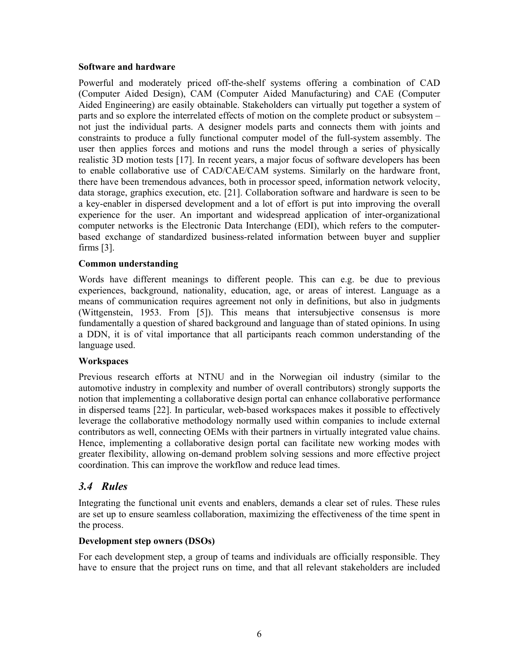#### **Software and hardware**

Powerful and moderately priced off-the-shelf systems offering a combination of CAD (Computer Aided Design), CAM (Computer Aided Manufacturing) and CAE (Computer Aided Engineering) are easily obtainable. Stakeholders can virtually put together a system of parts and so explore the interrelated effects of motion on the complete product or subsystem – not just the individual parts. A designer models parts and connects them with joints and constraints to produce a fully functional computer model of the full-system assembly. The user then applies forces and motions and runs the model through a series of physically realistic 3D motion tests [17]. In recent years, a major focus of software developers has been to enable collaborative use of CAD/CAE/CAM systems. Similarly on the hardware front, there have been tremendous advances, both in processor speed, information network velocity, data storage, graphics execution, etc. [21]. Collaboration software and hardware is seen to be a key-enabler in dispersed development and a lot of effort is put into improving the overall experience for the user. An important and widespread application of inter-organizational computer networks is the Electronic Data Interchange (EDI), which refers to the computerbased exchange of standardized business-related information between buyer and supplier firms [3].

### **Common understanding**

Words have different meanings to different people. This can e.g. be due to previous experiences, background, nationality, education, age, or areas of interest. Language as a means of communication requires agreement not only in definitions, but also in judgments (Wittgenstein, 1953. From [5]). This means that intersubjective consensus is more fundamentally a question of shared background and language than of stated opinions. In using a DDN, it is of vital importance that all participants reach common understanding of the language used.

### **Workspaces**

Previous research efforts at NTNU and in the Norwegian oil industry (similar to the automotive industry in complexity and number of overall contributors) strongly supports the notion that implementing a collaborative design portal can enhance collaborative performance in dispersed teams [22]. In particular, web-based workspaces makes it possible to effectively leverage the collaborative methodology normally used within companies to include external contributors as well, connecting OEMs with their partners in virtually integrated value chains. Hence, implementing a collaborative design portal can facilitate new working modes with greater flexibility, allowing on-demand problem solving sessions and more effective project coordination. This can improve the workflow and reduce lead times.

## *3.4 Rules*

Integrating the functional unit events and enablers, demands a clear set of rules. These rules are set up to ensure seamless collaboration, maximizing the effectiveness of the time spent in the process.

### **Development step owners (DSOs)**

For each development step, a group of teams and individuals are officially responsible. They have to ensure that the project runs on time, and that all relevant stakeholders are included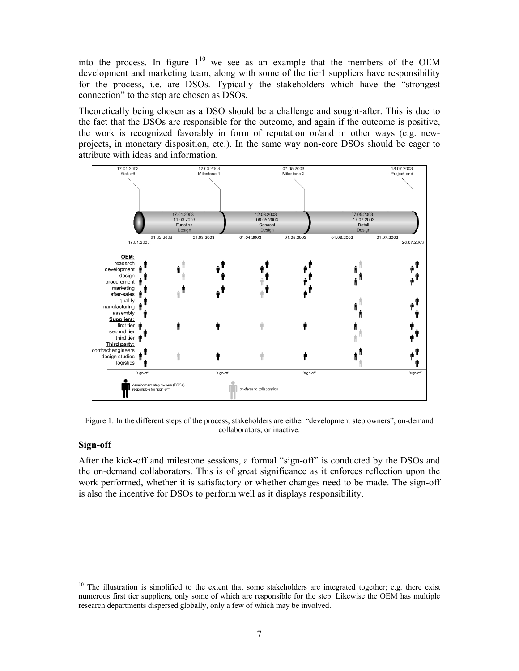into the process. In figure  $1^{10}$  we see as an example that the members of the OEM development and marketing team, along with some of the tier1 suppliers have responsibility for the process, i.e. are DSOs. Typically the stakeholders which have the "strongest connection" to the step are chosen as DSOs.

Theoretically being chosen as a DSO should be a challenge and sought-after. This is due to the fact that the DSOs are responsible for the outcome, and again if the outcome is positive, the work is recognized favorably in form of reputation or/and in other ways (e.g. newprojects, in monetary disposition, etc.). In the same way non-core DSOs should be eager to attribute with ideas and information.



Figure 1. In the different steps of the process, stakeholders are either "development step owners", on-demand collaborators, or inactive.

### **Sign-off**

 $\overline{\phantom{a}}$ 

After the kick-off and milestone sessions, a formal "sign-off" is conducted by the DSOs and the on-demand collaborators. This is of great significance as it enforces reflection upon the work performed, whether it is satisfactory or whether changes need to be made. The sign-off is also the incentive for DSOs to perform well as it displays responsibility.

 $10$  The illustration is simplified to the extent that some stakeholders are integrated together; e.g. there exist numerous first tier suppliers, only some of which are responsible for the step. Likewise the OEM has multiple research departments dispersed globally, only a few of which may be involved.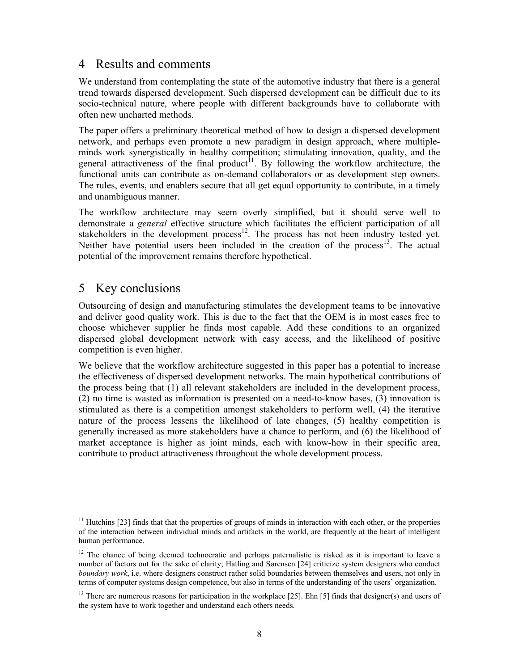# 4 Results and comments

We understand from contemplating the state of the automotive industry that there is a general trend towards dispersed development. Such dispersed development can be difficult due to its socio-technical nature, where people with different backgrounds have to collaborate with often new uncharted methods.

The paper offers a preliminary theoretical method of how to design a dispersed development network, and perhaps even promote a new paradigm in design approach, where multipleminds work synergistically in healthy competition; stimulating innovation, quality, and the general attractiveness of the final product<sup>11</sup>. By following the workflow architecture, the functional units can contribute as on-demand collaborators or as development step owners. The rules, events, and enablers secure that all get equal opportunity to contribute, in a timely and unambiguous manner.

The workflow architecture may seem overly simplified, but it should serve well to demonstrate a *general* effective structure which facilitates the efficient participation of all stakeholders in the development process<sup>12</sup>. The process has not been industry tested yet. Neither have potential users been included in the creation of the process<sup>13</sup>. The actual potential of the improvement remains therefore hypothetical.

# 5 Key conclusions

 $\overline{\phantom{a}}$ 

Outsourcing of design and manufacturing stimulates the development teams to be innovative and deliver good quality work. This is due to the fact that the OEM is in most cases free to choose whichever supplier he finds most capable. Add these conditions to an organized dispersed global development network with easy access, and the likelihood of positive competition is even higher.

We believe that the workflow architecture suggested in this paper has a potential to increase the effectiveness of dispersed development networks. The main hypothetical contributions of the process being that (1) all relevant stakeholders are included in the development process, (2) no time is wasted as information is presented on a need-to-know bases, (3) innovation is stimulated as there is a competition amongst stakeholders to perform well, (4) the iterative nature of the process lessens the likelihood of late changes, (5) healthy competition is generally increased as more stakeholders have a chance to perform, and (6) the likelihood of market acceptance is higher as joint minds, each with know-how in their specific area, contribute to product attractiveness throughout the whole development process.

 $11$  Hutchins [23] finds that that the properties of groups of minds in interaction with each other, or the properties of the interaction between individual minds and artifacts in the world, are frequently at the heart of intelligent human performance.

<sup>&</sup>lt;sup>12</sup> The chance of being deemed technocratic and perhaps paternalistic is risked as it is important to leave a number of factors out for the sake of clarity; Hatling and Sørensen [24] criticize system designers who conduct *boundary work*, i.e. where designers construct rather solid boundaries between themselves and users, not only in terms of computer systems design competence, but also in terms of the understanding of the users' organization.

<sup>&</sup>lt;sup>13</sup> There are numerous reasons for participation in the workplace [25]. Ehn [5] finds that designer(s) and users of the system have to work together and understand each others needs.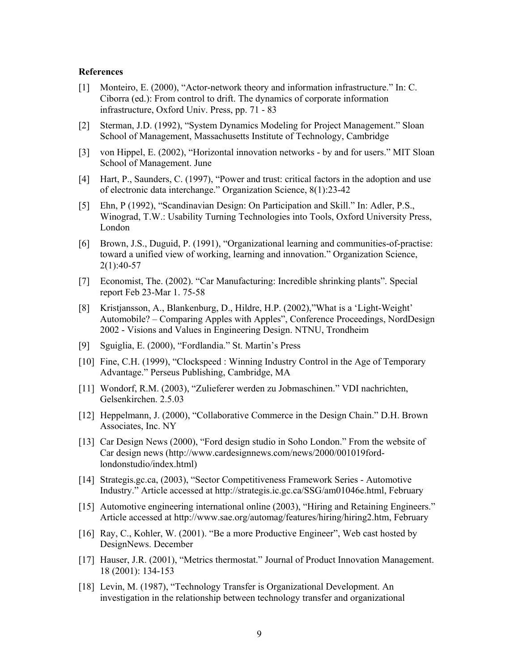#### **References**

- [1] Monteiro, E. (2000), "Actor-network theory and information infrastructure." In: C. Ciborra (ed.): From control to drift. The dynamics of corporate information infrastructure, Oxford Univ. Press, pp. 71 - 83
- [2] Sterman, J.D. (1992), "System Dynamics Modeling for Project Management." Sloan School of Management, Massachusetts Institute of Technology, Cambridge
- [3] von Hippel, E. (2002), "Horizontal innovation networks by and for users." MIT Sloan School of Management. June
- [4] Hart, P., Saunders, C. (1997), "Power and trust: critical factors in the adoption and use of electronic data interchange." Organization Science, 8(1):23-42
- [5] Ehn, P (1992), "Scandinavian Design: On Participation and Skill." In: Adler, P.S., Winograd, T.W.: Usability Turning Technologies into Tools, Oxford University Press, London
- [6] Brown, J.S., Duguid, P. (1991), "Organizational learning and communities-of-practise: toward a unified view of working, learning and innovation." Organization Science, 2(1):40-57
- [7] Economist, The. (2002). "Car Manufacturing: Incredible shrinking plants". Special report Feb 23-Mar 1. 75-58
- [8] Kristjansson, A., Blankenburg, D., Hildre, H.P. (2002),"What is a 'Light-Weight' Automobile? – Comparing Apples with Apples", Conference Proceedings, NordDesign 2002 - Visions and Values in Engineering Design. NTNU, Trondheim
- [9] Sguiglia, E. (2000), "Fordlandia." St. Martin's Press
- [10] Fine, C.H. (1999), "Clockspeed : Winning Industry Control in the Age of Temporary Advantage." Perseus Publishing, Cambridge, MA
- [11] Wondorf, R.M. (2003), "Zulieferer werden zu Jobmaschinen." VDI nachrichten, Gelsenkirchen. 2.5.03
- [12] Heppelmann, J. (2000), "Collaborative Commerce in the Design Chain." D.H. Brown Associates, Inc. NY
- [13] Car Design News (2000), "Ford design studio in Soho London." From the website of Car design news (http://www.cardesignnews.com/news/2000/001019fordlondonstudio/index.html)
- [14] Strategis.gc.ca, (2003), "Sector Competitiveness Framework Series Automotive Industry." Article accessed at http://strategis.ic.gc.ca/SSG/am01046e.html, February
- [15] Automotive engineering international online (2003), "Hiring and Retaining Engineers." Article accessed at http://www.sae.org/automag/features/hiring/hiring2.htm, February
- [16] Ray, C., Kohler, W. (2001). "Be a more Productive Engineer", Web cast hosted by DesignNews. December
- [17] Hauser, J.R. (2001), "Metrics thermostat." Journal of Product Innovation Management. 18 (2001): 134-153
- [18] Levin, M. (1987), "Technology Transfer is Organizational Development. An investigation in the relationship between technology transfer and organizational